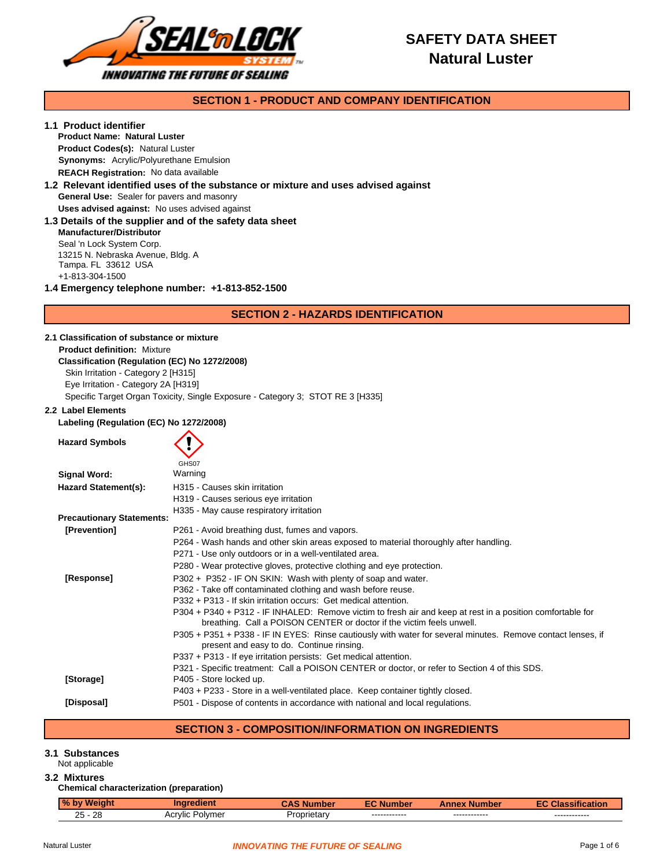

# **SAFETY DATA SHEET Natural Luster**

### **SECTION 1 - PRODUCT AND COMPANY IDENTIFICATION**

### **1.1 Product identifier**

**Product Name: Natural Luster Synonyms:** Acrylic/Polyurethane Emulsion **Product Codes(s):** Natural Luster **REACH Registration:** No data available

### **General Use:** Sealer for pavers and masonry **1.2 Relevant identified uses of the substance or mixture and uses advised against Uses advised against:** No uses advised against

**1.3 Details of the supplier and of the safety data sheet** +1-813-304-1500 Seal 'n Lock System Corp. **Manufacturer/Distributor** 13215 N. Nebraska Avenue, Bldg. A Tampa. FL 33612 USA

**1.4 Emergency telephone number: +1-813-852-1500**

### **SECTION 2 - HAZARDS IDENTIFICATION**

**2.1 Classification of substance or mixture Product definition:** Mixture **Classification (Regulation (EC) No 1272/2008)** Skin Irritation - Category 2 [H315]

Eye Irritation - Category 2A [H319]

Specific Target Organ Toxicity, Single Exposure - Category 3; STOT RE 3 [H335]

#### **2.2 Label Elements**

**Labeling (Regulation (EC) No 1272/2008)**

| <b>Hazard Symbols</b>            |                                                                                                                                                                                     |
|----------------------------------|-------------------------------------------------------------------------------------------------------------------------------------------------------------------------------------|
|                                  | GHS07                                                                                                                                                                               |
| Signal Word:                     | Warning                                                                                                                                                                             |
| <b>Hazard Statement(s):</b>      | H315 - Causes skin irritation                                                                                                                                                       |
|                                  | H319 - Causes serious eye irritation                                                                                                                                                |
| <b>Precautionary Statements:</b> | H335 - May cause respiratory irritation                                                                                                                                             |
| [Prevention]                     | P261 - Avoid breathing dust, fumes and vapors.                                                                                                                                      |
|                                  | P264 - Wash hands and other skin areas exposed to material thoroughly after handling.                                                                                               |
|                                  | P271 - Use only outdoors or in a well-ventilated area.                                                                                                                              |
|                                  | P280 - Wear protective gloves, protective clothing and eye protection.                                                                                                              |
| [Response]                       | P302 + P352 - IF ON SKIN: Wash with plenty of soap and water.                                                                                                                       |
|                                  | P362 - Take off contaminated clothing and wash before reuse.                                                                                                                        |
|                                  | P332 + P313 - If skin irritation occurs: Get medical attention.                                                                                                                     |
|                                  | P304 + P340 + P312 - IF INHALED: Remove victim to fresh air and keep at rest in a position comfortable for<br>breathing. Call a POISON CENTER or doctor if the victim feels unwell. |
|                                  | P305 + P351 + P338 - IF IN EYES: Rinse cautiously with water for several minutes. Remove contact lenses, if<br>present and easy to do. Continue rinsing.                            |
|                                  | P337 + P313 - If eye irritation persists: Get medical attention.                                                                                                                    |
|                                  | P321 - Specific treatment: Call a POISON CENTER or doctor, or refer to Section 4 of this SDS.                                                                                       |
| [Storage]                        | P405 - Store locked up.                                                                                                                                                             |
|                                  | P403 + P233 - Store in a well-ventilated place. Keep container tightly closed.                                                                                                      |
| [Disposal]                       | P501 - Dispose of contents in accordance with national and local regulations.                                                                                                       |

### **SECTION 3 - COMPOSITION/INFORMATION ON INGREDIENTS**

# **3.1 Substances**

Not applicable

### **3.2 Mixtures**

### **Chemical characterization (preparation)**

| $\overline{\mathbf{0}}$ |                             |                 | IUG.                           | поге                          | $-0.05$<br>. .                 |
|-------------------------|-----------------------------|-----------------|--------------------------------|-------------------------------|--------------------------------|
| $\sim$<br>ററ<br>26<br>້ | Acr<br>Polvi<br>™UIL.<br>пе | $1 - 1$<br>…ar⊻ | -------------<br>------------- | ------------<br>------------- | -------------<br>------------- |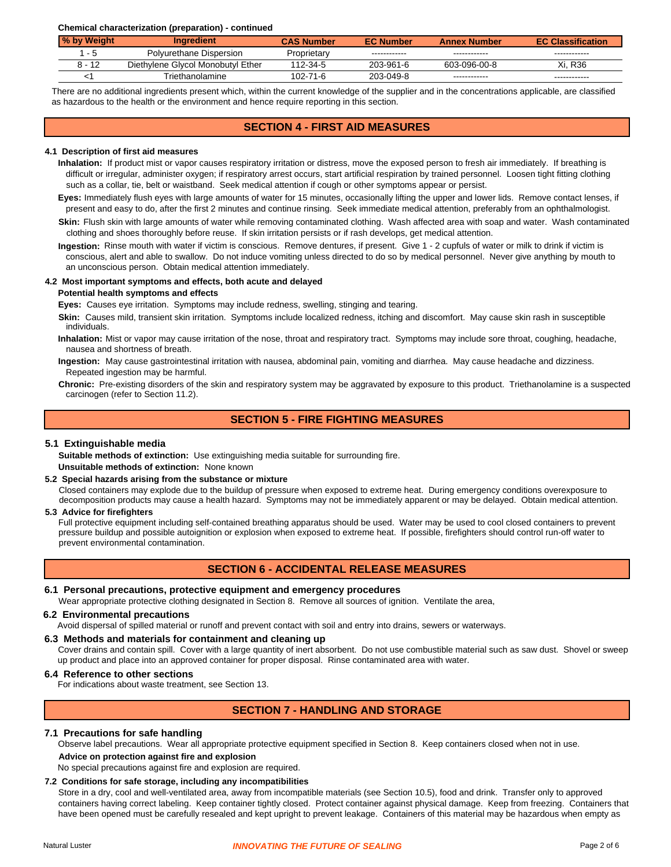**Chemical characterization (preparation) - continued**

| % by Weight | <b>Ingredient</b>                 | <b>CAS Number</b> | <b>EC Number</b> | <b>Annex Number</b> | <b>EC Classification</b> |
|-------------|-----------------------------------|-------------------|------------------|---------------------|--------------------------|
| - 5         | Polyurethane Dispersion           | Proprietarv       | ------------     | ------------        | ------------             |
| 8 - 12      | Diethylene Glycol Monobutyl Ether | 112-34-5          | 203-961-6        | 603-096-00-8        | Xi. R36                  |
|             | Triethanolamine                   | 102-71-6          | 203-049-8        | ------------        | ------------             |

There are no additional ingredients present which, within the current knowledge of the supplier and in the concentrations applicable, are classified as hazardous to the health or the environment and hence require reporting in this section.

### **SECTION 4 - FIRST AID MEASURES**

#### **4.1 Description of first aid measures**

difficult or irregular, administer oxygen; if respiratory arrest occurs, start artificial respiration by trained personnel. Loosen tight fitting clothing **Inhalation:** If product mist or vapor causes respiratory irritation or distress, move the exposed person to fresh air immediately. If breathing is such as a collar, tie, belt or waistband. Seek medical attention if cough or other symptoms appear or persist.

**Eyes:** Immediately flush eyes with large amounts of water for 15 minutes, occasionally lifting the upper and lower lids. Remove contact lenses, if present and easy to do, after the first 2 minutes and continue rinsing. Seek immediate medical attention, preferably from an ophthalmologist.

**Skin:** Flush skin with large amounts of water while removing contaminated clothing. Wash affected area with soap and water. Wash contaminated clothing and shoes thoroughly before reuse. If skin irritation persists or if rash develops, get medical attention.

**Ingestion:** Rinse mouth with water if victim is conscious. Remove dentures, if present. Give 1 - 2 cupfuls of water or milk to drink if victim is conscious, alert and able to swallow. Do not induce vomiting unless directed to do so by medical personnel. Never give anything by mouth to an unconscious person. Obtain medical attention immediately.

### **4.2 Most important symptoms and effects, both acute and delayed**

#### **Potential health symptoms and effects**

**Eyes:** Causes eye irritation. Symptoms may include redness, swelling, stinging and tearing.

**Skin:** Causes mild, transient skin irritation. Symptoms include localized redness, itching and discomfort. May cause skin rash in susceptible individuals.

Inhalation: Mist or vapor may cause irritation of the nose, throat and respiratory tract. Symptoms may include sore throat, coughing, headache, nausea and shortness of breath.

Repeated ingestion may be harmful. **Ingestion:** May cause gastrointestinal irritation with nausea, abdominal pain, vomiting and diarrhea. May cause headache and dizziness.

**Chronic:** Pre-existing disorders of the skin and respiratory system may be aggravated by exposure to this product. Triethanolamine is a suspected carcinogen (refer to Section 11.2).

### **SECTION 5 - FIRE FIGHTING MEASURES**

#### **5.1 Extinguishable media**

**Suitable methods of extinction:** Use extinguishing media suitable for surrounding fire. **Unsuitable methods of extinction:** None known

#### **5.2 Special hazards arising from the substance or mixture**

Closed containers may explode due to the buildup of pressure when exposed to extreme heat. During emergency conditions overexposure to decomposition products may cause a health hazard. Symptoms may not be immediately apparent or may be delayed. Obtain medical attention.

### **5.3 Advice for firefighters**

Full protective equipment including self-contained breathing apparatus should be used. Water may be used to cool closed containers to prevent pressure buildup and possible autoignition or explosion when exposed to extreme heat. If possible, firefighters should control run-off water to prevent environmental contamination.

### **SECTION 6 - ACCIDENTAL RELEASE MEASURES**

#### **6.1 Personal precautions, protective equipment and emergency procedures**

Wear appropriate protective clothing designated in Section 8. Remove all sources of ignition. Ventilate the area,

#### **6.2 Environmental precautions**

Avoid dispersal of spilled material or runoff and prevent contact with soil and entry into drains, sewers or waterways.

#### **6.3 Methods and materials for containment and cleaning up**

up product and place into an approved container for proper disposal. Rinse contaminated area with water. Cover drains and contain spill. Cover with a large quantity of inert absorbent. Do not use combustible material such as saw dust. Shovel or sweep

#### **6.4 Reference to other sections**

For indications about waste treatment, see Section 13.

### **SECTION 7 - HANDLING AND STORAGE**

#### **7.1 Precautions for safe handling**

**Advice on protection against fire and explosion** Observe label precautions. Wear all appropriate protective equipment specified in Section 8. Keep containers closed when not in use.

No special precautions against fire and explosion are required.

## **7.2 Conditions for safe storage, including any incompatibilities**

Store in a dry, cool and well-ventilated area, away from incompatible materials (see Section 10.5), food and drink. Transfer only to approved have been opened must be carefully resealed and kept upright to prevent leakage. Containers of this material may be hazardous when empty as containers having correct labeling. Keep container tightly closed. Protect container against physical damage. Keep from freezing. Containers that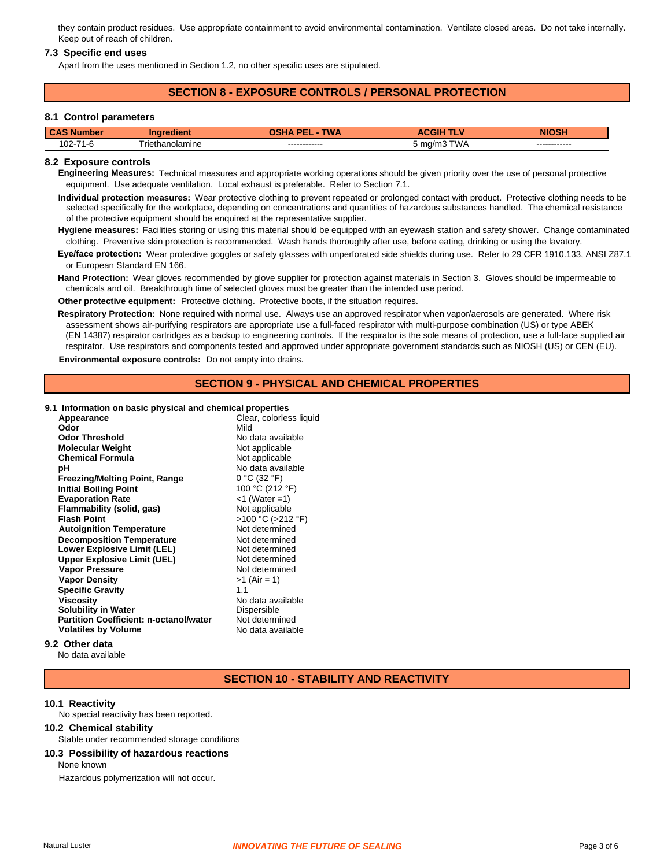they contain product residues. Use appropriate containment to avoid environmental contamination. Ventilate closed areas. Do not take internally. Keep out of reach of children.

#### **7.3 Specific end uses**

Apart from the uses mentioned in Section 1.2, no other specific uses are stipulated.

### **SECTION 8 - EXPOSURE CONTROLS / PERSONAL PROTECTION**

#### **8.1 Control parameters**

| CAS <sub>N</sub>                           |                 | TWA<br>DЕ                      |                               | <b>HAAH</b>                    |
|--------------------------------------------|-----------------|--------------------------------|-------------------------------|--------------------------------|
| $\sim$<br>74 <sub>0</sub><br>1 - r<br>.UZ- | Friethanolamine | -------------<br>------------- | <b>WA</b><br>→ ma/m3 ′<br>. . | -------------<br>------------- |

#### **8.2 Exposure controls**

**Engineering Measures:** Technical measures and appropriate working operations should be given priority over the use of personal protective equipment. Use adequate ventilation. Local exhaust is preferable. Refer to Section 7.1.

**Individual protection measures:** Wear protective clothing to prevent repeated or prolonged contact with product. Protective clothing needs to be selected specifically for the workplace, depending on concentrations and quantities of hazardous substances handled. The chemical resistance of the protective equipment should be enquired at the representative supplier.

clothing. Preventive skin protection is recommended. Wash hands thoroughly after use, before eating, drinking or using the lavatory. **Hygiene measures:** Facilities storing or using this material should be equipped with an eyewash station and safety shower. Change contaminated

Eye/face protection: Wear protective goggles or safety glasses with unperforated side shields during use. Refer to 29 CFR 1910.133, ANSI Z87.1 or European Standard EN 166.

**Hand Protection:** Wear gloves recommended by glove supplier for protection against materials in Section 3. Gloves should be impermeable to chemicals and oil. Breakthrough time of selected gloves must be greater than the intended use period.

**Other protective equipment:** Protective clothing. Protective boots, if the situation requires.

Respiratory Protection: None required with normal use. Always use an approved respirator when vapor/aerosols are generated. Where risk assessment shows air-purifying respirators are appropriate use a full-faced respirator with multi-purpose combination (US) or type ABEK (EN 14387) respirator cartridges as a backup to engineering controls. If the respirator is the sole means of protection, use a full-face supplied air respirator. Use respirators and components tested and approved under appropriate government standards such as NIOSH (US) or CEN (EU).

**Environmental exposure controls:** Do not empty into drains.

# **SECTION 9 - PHYSICAL AND CHEMICAL PROPERTIES**

**9.1 Information on basic physical and chemical properties**

| Appearance                                    | Clear, colorless liquid |
|-----------------------------------------------|-------------------------|
| Odor                                          | Mild                    |
| <b>Odor Threshold</b>                         | No data available       |
| <b>Molecular Weight</b>                       | Not applicable          |
| <b>Chemical Formula</b>                       | Not applicable          |
| рH                                            | No data available       |
| <b>Freezing/Melting Point, Range</b>          | $0 °C$ (32 $°F$ )       |
| <b>Initial Boiling Point</b>                  | 100 °C (212 °F)         |
| <b>Evaporation Rate</b>                       | $<$ 1 (Water = 1)       |
| Flammability (solid, gas)                     | Not applicable          |
| <b>Flash Point</b>                            | >100 °C (>212 °F)       |
| <b>Autoignition Temperature</b>               | Not determined          |
| <b>Decomposition Temperature</b>              | Not determined          |
| <b>Lower Explosive Limit (LEL)</b>            | Not determined          |
| <b>Upper Explosive Limit (UEL)</b>            | Not determined          |
| <b>Vapor Pressure</b>                         | Not determined          |
| <b>Vapor Density</b>                          | $>1$ (Air = 1)          |
| <b>Specific Gravity</b>                       | 1.1                     |
| Viscosity                                     | No data available       |
| <b>Solubility in Water</b>                    | Dispersible             |
| <b>Partition Coefficient: n-octanol/water</b> | Not determined          |
| <b>Volatiles by Volume</b>                    | No data available       |
|                                               |                         |

### **9.2 Other data**

No data available

#### **SECTION 10 - STABILITY AND REACTIVITY**

#### **10.1 Reactivity**

No special reactivity has been reported.

#### **10.2 Chemical stability**

- Stable under recommended storage conditions
- None known **10.3 Possibility of hazardous reactions** Hazardous polymerization will not occur.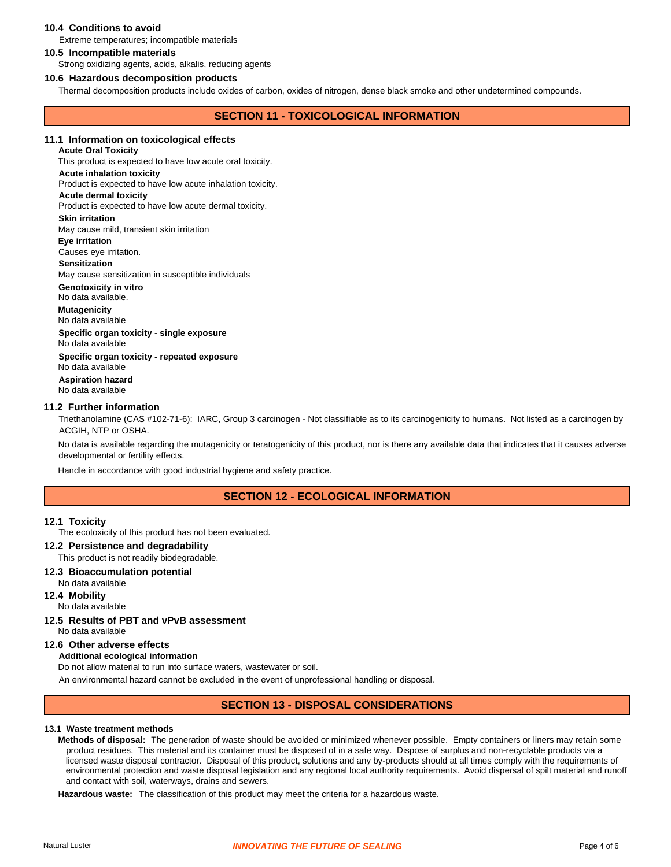### **10.4 Conditions to avoid**

Extreme temperatures; incompatible materials

#### **10.5 Incompatible materials**

Strong oxidizing agents, acids, alkalis, reducing agents

#### **10.6 Hazardous decomposition products**

Thermal decomposition products include oxides of carbon, oxides of nitrogen, dense black smoke and other undetermined compounds.

### **SECTION 11 - TOXICOLOGICAL INFORMATION**

#### **11.1 Information on toxicological effects**

**Acute Oral Toxicity**

**Acute inhalation toxicity** This product is expected to have low acute oral toxicity.

Product is expected to have low acute inhalation toxicity.

### **Acute dermal toxicity**

Product is expected to have low acute dermal toxicity.

#### **Skin irritation**

May cause mild, transient skin irritation

#### **Eye irritation**

Causes eye irritation.

#### **Sensitization**

May cause sensitization in susceptible individuals

### **Genotoxicity in vitro**

No data available.

**Mutagenicity** 

# No data available

No data available **Specific organ toxicity - single exposure**

**Aspiration hazard** No data available **Specific organ toxicity - repeated exposure**

No data available

#### **11.2 Further information**

ACGIH, NTP or OSHA. Triethanolamine (CAS #102-71-6): IARC, Group 3 carcinogen - Not classifiable as to its carcinogenicity to humans. Not listed as a carcinogen by

developmental or fertility effects. No data is available regarding the mutagenicity or teratogenicity of this product, nor is there any available data that indicates that it causes adverse

Handle in accordance with good industrial hygiene and safety practice.

### **SECTION 12 - ECOLOGICAL INFORMATION**

#### **12.1 Toxicity**

The ecotoxicity of this product has not been evaluated.

### **12.2 Persistence and degradability**

### This product is not readily biodegradable.

**12.3 Bioaccumulation potential**

No data available

### **12.4 Mobility**

No data available

#### **12.5 Results of PBT and vPvB assessment**

No data available

### **12.6 Other adverse effects**

### **Additional ecological information**

Do not allow material to run into surface waters, wastewater or soil.

An environmental hazard cannot be excluded in the event of unprofessional handling or disposal.

### **SECTION 13 - DISPOSAL CONSIDERATIONS**

#### **13.1 Waste treatment methods**

Methods of disposal: The generation of waste should be avoided or minimized whenever possible. Empty containers or liners may retain some licensed waste disposal contractor. Disposal of this product, solutions and any by-products should at all times comply with the requirements of environmental protection and waste disposal legislation and any regional local authority requirements. Avoid dispersal of spilt material and runoff product residues. This material and its container must be disposed of in a safe way. Dispose of surplus and non-recyclable products via a and contact with soil, waterways, drains and sewers.

Hazardous waste: The classification of this product may meet the criteria for a hazardous waste.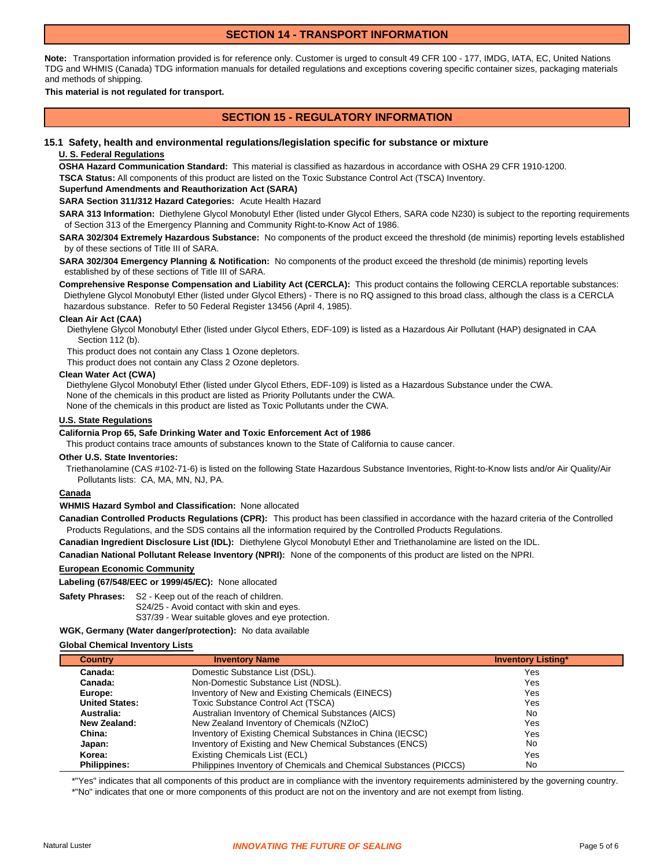### **SECTION 14 - TRANSPORT INFORMATION**

**Note:** Transportation information provided is for reference only. Customer is urged to consult 49 CFR 100 - 177, IMDG, IATA, EC, United Nations TDG and WHMIS (Canada) TDG information manuals for detailed regulations and exceptions covering specific container sizes, packaging materials and methods of shipping.

#### **This material is not regulated for transport.**

### **SECTION 15 - REGULATORY INFORMATION**

### **15.1 Safety, health and environmental regulations/legislation specific for substance or mixture**

#### **U. S. Federal Regulations**

**OSHA Hazard Communication Standard:**  This material is classified as hazardous in accordance with OSHA 29 CFR 1910-1200. **TSCA Status:** All components of this product are listed on the Toxic Substance Control Act (TSCA) Inventory.

### **Superfund Amendments and Reauthorization Act (SARA)**

**SARA Section 311/312 Hazard Categories:** Acute Health Hazard

**SARA 313 Information:** Diethylene Glycol Monobutyl Ether (listed under Glycol Ethers, SARA code N230) is subject to the reporting requirements of Section 313 of the Emergency Planning and Community Right-to-Know Act of 1986.

**SARA 302/304 Extremely Hazardous Substance:** No components of the product exceed the threshold (de minimis) reporting levels established by of these sections of Title III of SARA.

**SARA 302/304 Emergency Planning & Notification:** No components of the product exceed the threshold (de minimis) reporting levels established by of these sections of Title III of SARA.

**Comprehensive Response Compensation and Liability Act (CERCLA):** This product contains the following CERCLA reportable substances: Diethylene Glycol Monobutyl Ether (listed under Glycol Ethers) - There is no RQ assigned to this broad class, although the class is a CERCLA hazardous substance. Refer to 50 Federal Register 13456 (April 4, 1985).

#### **Clean Air Act (CAA)**

Diethylene Glycol Monobutyl Ether (listed under Glycol Ethers, EDF-109) is listed as a Hazardous Air Pollutant (HAP) designated in CAA Section 112 (b).

This product does not contain any Class 1 Ozone depletors.

This product does not contain any Class 2 Ozone depletors.

#### **Clean Water Act (CWA)**

Diethylene Glycol Monobutyl Ether (listed under Glycol Ethers, EDF-109) is listed as a Hazardous Substance under the CWA. None of the chemicals in this product are listed as Priority Pollutants under the CWA.

None of the chemicals in this product are listed as Toxic Pollutants under the CWA.

#### **U.S. State Regulations**

#### **California Prop 65, Safe Drinking Water and Toxic Enforcement Act of 1986**

This product contains trace amounts of substances known to the State of California to cause cancer.

#### **Other U.S. State Inventories:**

Triethanolamine (CAS #102-71-6) is listed on the following State Hazardous Substance Inventories, Right-to-Know lists and/or Air Quality/Air Pollutants lists: CA, MA, MN, NJ, PA.

#### **Canada**

#### **WHMIS Hazard Symbol and Classification:**  None allocated

**Canadian Controlled Products Regulations (CPR):** This product has been classified in accordance with the hazard criteria of the Controlled Products Regulations, and the SDS contains all the information required by the Controlled Products Regulations.

**Canadian Ingredient Disclosure List (IDL):** Diethylene Glycol Monobutyl Ether and Triethanolamine are listed on the IDL.

**Canadian National Pollutant Release Inventory (NPRI):** None of the components of this product are listed on the NPRI.

#### **European Economic Community**

**Labeling (67/548/EEC or 1999/45/EC):** None allocated

**Safety Phrases:** S2 - Keep out of the reach of children. S37/39 - Wear suitable gloves and eye protection. S24/25 - Avoid contact with skin and eyes.

**WGK, Germany (Water danger/protection):** No data available

#### **Global Chemical Inventory Lists**

| <b>Country</b>        | <b>Inventory Name</b>                                              | <b>Inventory Listing*</b> |
|-----------------------|--------------------------------------------------------------------|---------------------------|
| Canada:               | Domestic Substance List (DSL).                                     | Yes                       |
| Canada:               | Non-Domestic Substance List (NDSL).                                | Yes                       |
| Europe:               | Inventory of New and Existing Chemicals (EINECS)                   | Yes                       |
| <b>United States:</b> | Toxic Substance Control Act (TSCA)                                 | Yes                       |
| Australia:            | Australian Inventory of Chemical Substances (AICS)                 | No                        |
| New Zealand:          | New Zealand Inventory of Chemicals (NZIoC)                         | Yes                       |
| China:                | Inventory of Existing Chemical Substances in China (IECSC)         | Yes                       |
| Japan:                | Inventory of Existing and New Chemical Substances (ENCS)           | No                        |
| Korea:                | Existing Chemicals List (ECL)                                      | Yes                       |
| <b>Philippines:</b>   | Philippines Inventory of Chemicals and Chemical Substances (PICCS) | No                        |

\*"Yes" indicates that all components of this product are in compliance with the inventory requirements administered by the governing country. \*"No" indicates that one or more components of this product are not on the inventory and are not exempt from listing.